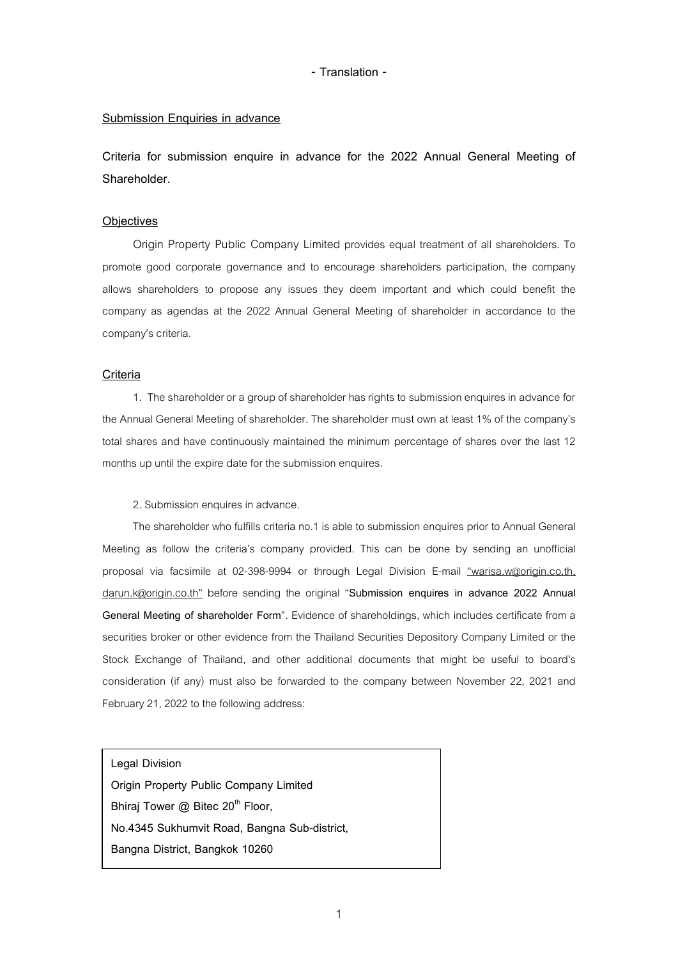**- Translation -**

## **Submission Enquiries in advance**

**Criteria for submission enquire in advance for the 2022 Annual General Meeting of Shareholder.**

### **Objectives**

Origin Property Public Company Limited provides equal treatment of all shareholders. To promote good corporate governance and to encourage shareholders participation, the company allows shareholders to propose any issues they deem important and which could benefit the company as agendas at the 2022 Annual General Meeting of shareholder in accordance to the company's criteria.

#### **Criteria**

1. The shareholder or a group of shareholder has rights to submission enquiresin advance for the Annual General Meeting of shareholder. The shareholder must own at least 1% of the company's total shares and have continuously maintained the minimum percentage of shares over the last 12 months up until the expire date for the submission enquires.

#### 2. Submission enquires in advance.

The shareholder who fulfills criteria no.1 is able to submission enquires prior to Annual General Meeting as follow the criteria's company provided. This can be done by sending an unofficial proposal via facsimile at 02-398-9994 or through Legal Division E-mail "warisa.w@origin.co.th, darun.k@origin.co.th" before sending the original "**Submission enquires in advance 2022 Annual General Meeting of shareholder Form**". Evidence of shareholdings, which includes certificate from a securities broker or other evidence from the Thailand Securities Depository Company Limited or the Stock Exchange of Thailand, and other additional documents that might be useful to board's consideration (if any) must also be forwarded to the company between November 22, 2021 and February 21, 2022 to the following address:

**Legal Division Origin Property Public Company Limited Bhiraj Tower @ Bitec 20<sup>th</sup> Floor, No.4345 Sukhumvit Road, Bangna Sub-district, Bangna District, Bangkok 10260**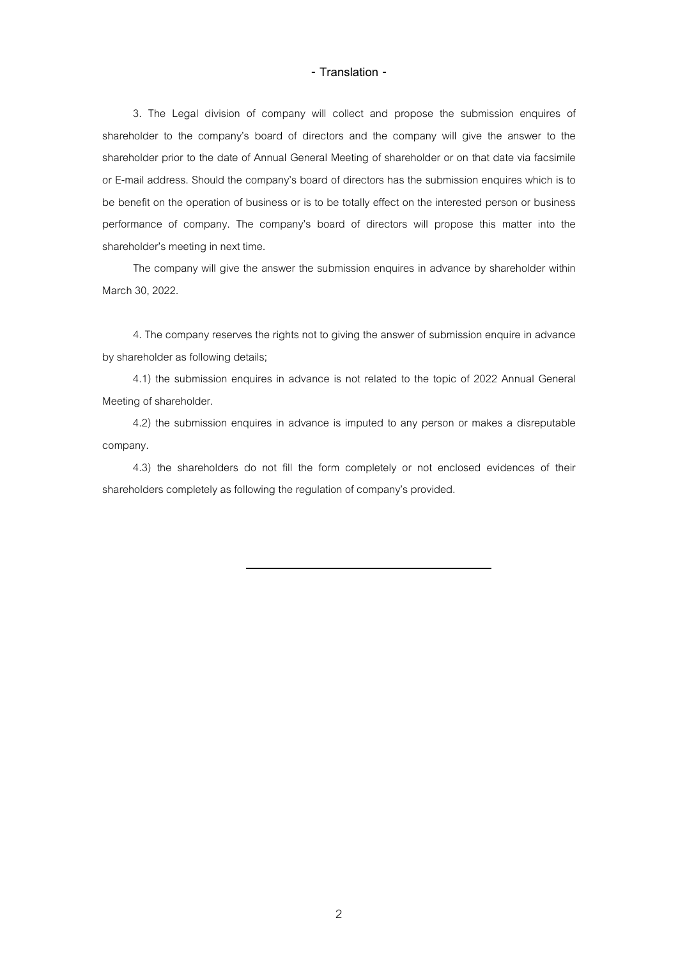#### **- Translation -**

3. The Legal division of company will collect and propose the submission enquires of shareholder to the company's board of directors and the company will give the answer to the shareholder prior to the date of Annual General Meeting of shareholder or on that date via facsimile or E-mail address. Should the company's board of directors has the submission enquires which is to be benefit on the operation of business or is to be totally effect on the interested person or business performance of company. The company's board of directors will propose this matter into the shareholder's meeting in next time.

The company will give the answer the submission enquires in advance by shareholder within March 30, 2022.

4. The company reserves the rights not to giving the answer of submission enquire in advance by shareholder as following details;

4.1) the submission enquires in advance is not related to the topic of 2022 Annual General Meeting of shareholder.

4.2) the submission enquires in advance is imputed to any person or makes a disreputable company.

4.3) the shareholders do not fill the form completely or not enclosed evidences of their shareholders completely as following the regulation of company's provided.

2